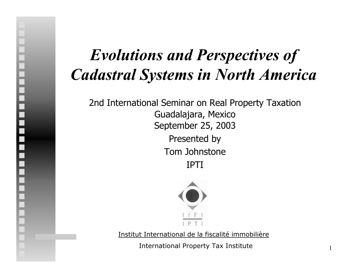#### *Evolutions and Perspectives of Cadastral Systems in North America*

2nd International Seminar on Real Property Taxation Guadalajara, Mexico September 25, 2003 Presented by Tom JohnstoneIPTI

|<br>|<br>|



Institut International de la fiscalité immobilière

International Property Tax Institute

1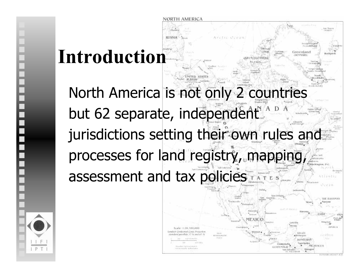# **Introduction**

North America is not only 2 countries but 62 separate, independent jurisdictions setting their own rules and processes for land registry, mapping assessment and tax policies

NORTH AMERICA



Greenland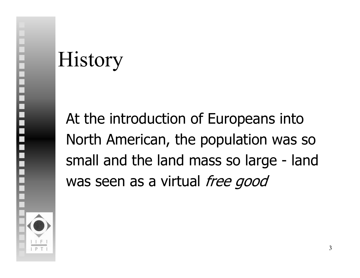# History

At the introduction of Europeans into North American, the population was so small and the land mass so large - land was seen as a virtual free good

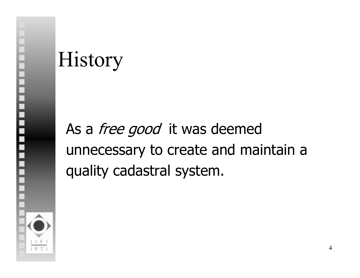### History

As a *free good* it was deemed unnecessary to create and maintain a quality cadastral system.

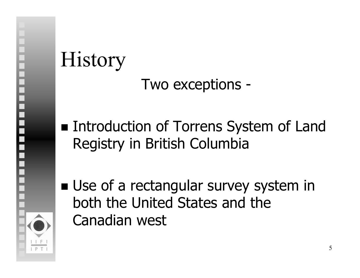### History Two exceptions -

- ■ Introduction of Torrens System of Land Registry in British Columbia
- **Use of a rectangular survey system in** both the United States and the Canadian west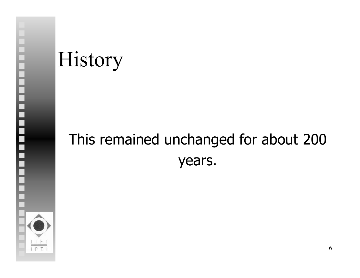### History

#### This remained unchanged for about 200 years.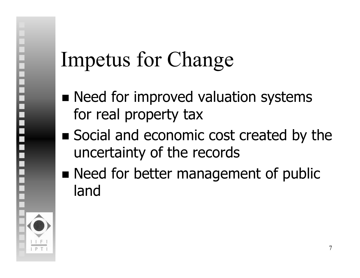## Impetus for Change

- **Need for improved valuation systems** for real property tax
- Social and economic cost created by the uncertainty of the records
- **Need for better management of public** land

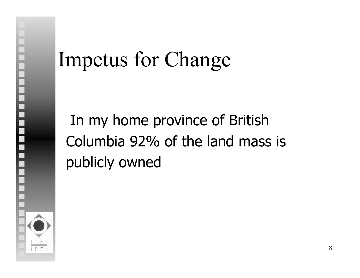### Impetus for Change

In my home province of British Columbia 92% of the land mass is publicly owned

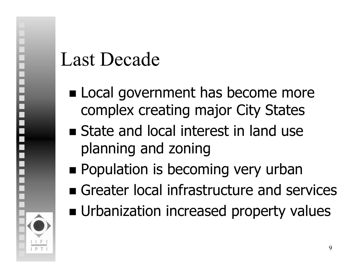#### Last Decade

- **Local government has become more** complex creating major City States
- **State and local interest in land use** planning and zoning
- **Population is becoming very urban**
- **Example 2 Greater local infrastructure and services**
- **u** Urbanization increased property values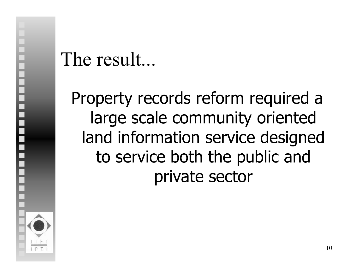#### The result...

Property records reform required a large scale community oriented land information service designed to service both the public and private sector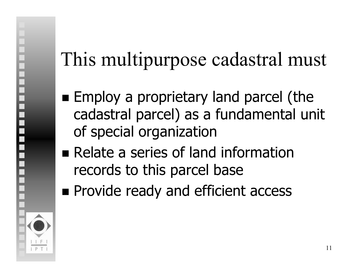## This multipurpose cadastral must

- **Employ a proprietary land parcel (the** cadastral parcel) as a fundamental unit of special organization
- Relate a series of land information records to this parcel base
- **Provide ready and efficient access**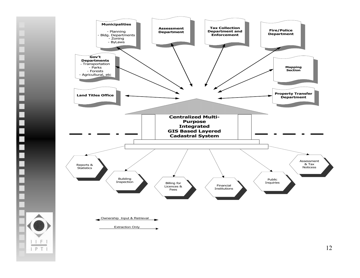

Ë

 $IF$  $IPT$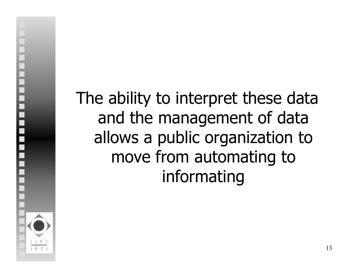The ability to interpret these data and the management of data allows a public organization to move from automating to informating

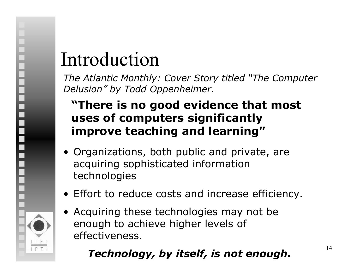### Introduction

*The Atlantic Monthly: Cover Story titled "The Computer Delusion" by Todd Oppenheimer.*

#### **"There is no good evidence that most uses of computers significantly improve teaching and learning"**

- Organizations, both public and private, are acquiring sophisticated information technologies
- Effort to reduce costs and increase efficiency.
- Acquiring these technologies may not be enough to achieve higher levels of effectiveness.

#### *Technology, by itself, is not enough.*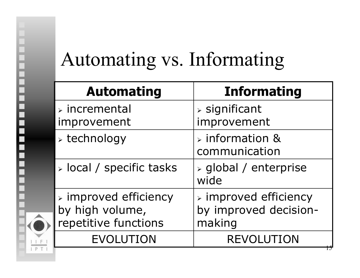#### Automating vs. Informating

i<br>Sebagai<br>Sebagai

| <b>Automating</b>                                                               | <b>Informating</b>                                                      |
|---------------------------------------------------------------------------------|-------------------------------------------------------------------------|
| $\triangleright$ incremental<br>improvement                                     | $\triangleright$ significant<br>improvement                             |
| $\triangleright$ technology                                                     | $\triangleright$ information &<br>communication                         |
| $\triangleright$ local / specific tasks                                         | $\triangleright$ global / enterprise<br>wide                            |
| $\triangleright$ improved efficiency<br>by high volume,<br>repetitive functions | $\triangleright$ improved efficiency<br>by improved decision-<br>making |
| <b>EVOLUTION</b>                                                                | <b>REVOLUTION</b>                                                       |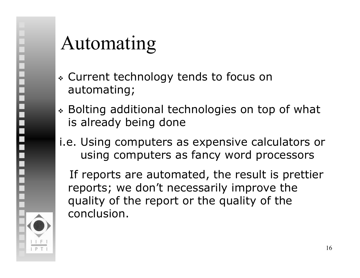#### Automating

- Current technology tends to focus on automating;
- Bolting additional technologies on top of what is already being done

#### i.e. Using computers as expensive calculators or using computers as fancy word processors

If reports are automated, the result is prettier reports; we don't necessarily improve the quality of the report or the quality of the conclusion.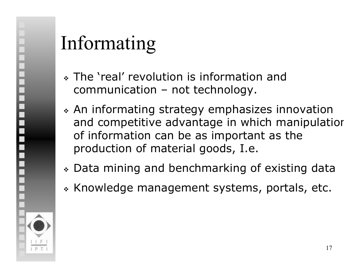#### Informating

- The 'real' revolution is information and communication – not technology.
- An informating strategy emphasizes innovation and competitive advantage in which manipulatior of information can be as important as the production of material goods, I.e.
- Data mining and benchmarking of existing data
- \* Knowledge management systems, portals, etc.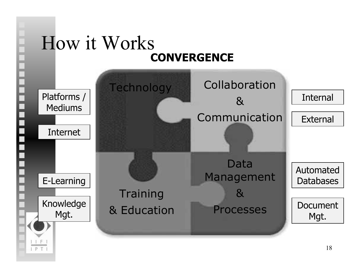

 $IPT$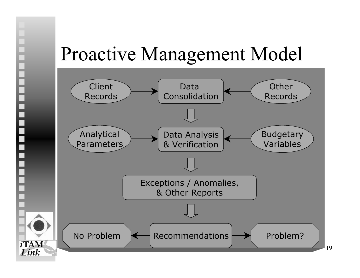#### Proactive Management Model



=<br>=<br>=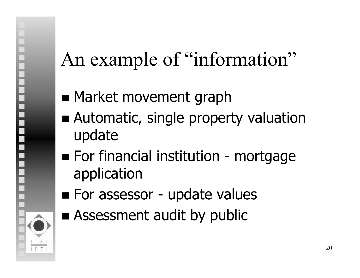### An example of "information"

- **Rarket movement graph**
- **Automatic, single property valuation** update
- For financial institution - mortgage application
- **Example 1 For assessor - update values**
- **Assessment audit by public**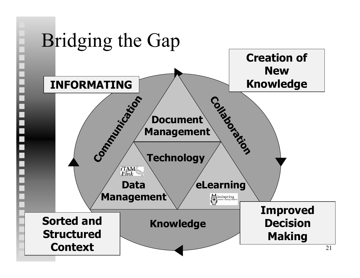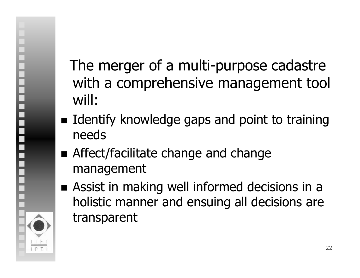#### The merger of a multi-purpose cadastre with a comprehensive management tool will:

- **I** Identify knowledge gaps and point to training needs
- **Affect/facilitate change and change** management
- **Assist in making well informed decisions in a** holistic manner and ensuing all decisions are transparent

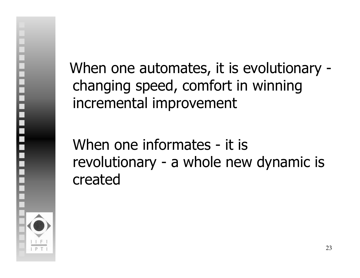When one automates, it is evolutionary changing speed, comfort in winning incremental improvement

When one informates - it is revolutionary - a whole new dynamic is created

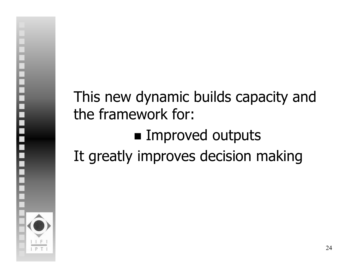#### This new dynamic builds capacity and the framework for: **Improved outputs** It greatly improves decision making